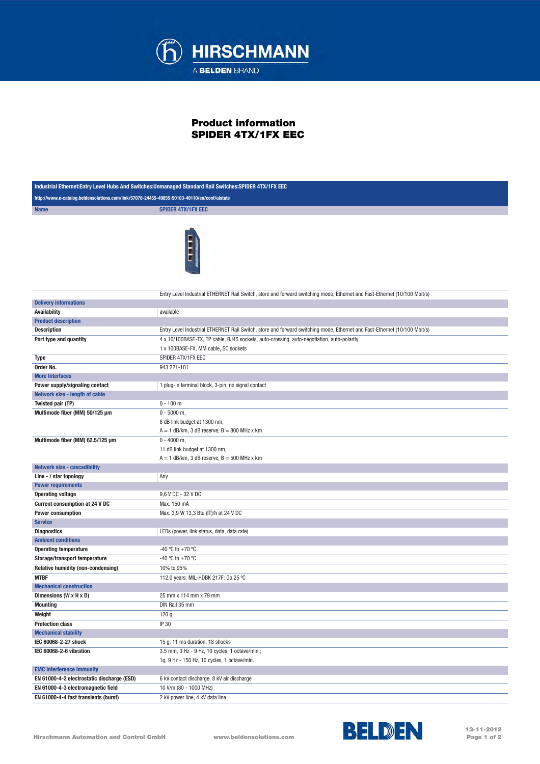

## Product information SPIDER 4TX/1FX EEC

| Industrial Ethernet: Entry Level Hubs And Switches: Unmanaged Standard Rail Switches: SPIDER 4TX/1FX EEC |                                                                                                                                   |  |
|----------------------------------------------------------------------------------------------------------|-----------------------------------------------------------------------------------------------------------------------------------|--|
| http://www.e-catalog.beldensolutions.com/link/57078-24455-49855-50103-40110/en/conf/uistate              |                                                                                                                                   |  |
| <b>Name</b>                                                                                              | <b>SPIDER 4TX/1FX EEC</b>                                                                                                         |  |
|                                                                                                          |                                                                                                                                   |  |
|                                                                                                          | Entry Level Industrial ETHERNET Rail Switch, store and forward switching mode, Ethernet and Fast-Ethernet (10/100 Mbit/s)         |  |
| <b>Delivery informations</b><br><b>Availability</b>                                                      | available                                                                                                                         |  |
|                                                                                                          |                                                                                                                                   |  |
| <b>Product description</b>                                                                               |                                                                                                                                   |  |
| <b>Description</b>                                                                                       | Entry Level Industrial ETHERNET Rail Switch, store and forward switching mode, Ethernet and Fast-Ethernet (10/100 Mbit/s)         |  |
| Port type and quantity                                                                                   | 4 x 10/100BASE-TX, TP cable, RJ45 sockets, auto-crossing, auto-negotiation, auto-polarity<br>1 x 100BASE-FX, MM cable, SC sockets |  |
|                                                                                                          | SPIDER 4TX/1FX EEC                                                                                                                |  |
| Type                                                                                                     |                                                                                                                                   |  |
| Order No.<br><b>More Interfaces</b>                                                                      | 943 221-101                                                                                                                       |  |
|                                                                                                          |                                                                                                                                   |  |
| Power supply/signaling contact                                                                           | 1 plug-in terminal block, 3-pin, no signal contact                                                                                |  |
| Network size - length of cable                                                                           | $0 - 100$ m                                                                                                                       |  |
| Twisted pair (TP)                                                                                        |                                                                                                                                   |  |
| Multimode fiber (MM) 50/125 µm                                                                           | $0 - 5000$ m,<br>8 dB link budget at 1300 nm,<br>$A = 1$ dB/km, 3 dB reserve, $B = 800$ MHz x km                                  |  |
| Multimode fiber (MM) 62.5/125 µm                                                                         | $0 - 4000$ m,<br>11 dB link budget at 1300 nm,<br>$A = 1$ dB/km, 3 dB reserve, $B = 500$ MHz x km                                 |  |
| <b>Network size - cascadibility</b>                                                                      |                                                                                                                                   |  |
| Line - / star topology                                                                                   | Any                                                                                                                               |  |
| <b>Power requirements</b>                                                                                |                                                                                                                                   |  |
| <b>Operating voltage</b>                                                                                 | 9,6 V DC - 32 V DC                                                                                                                |  |
| <b>Current consumption at 24 V DC</b>                                                                    | Max. 150 mA                                                                                                                       |  |
| <b>Power consumption</b>                                                                                 | Max. 3,9 W 13,3 Btu (IT)/h at 24 V DC                                                                                             |  |
| <b>Service</b>                                                                                           |                                                                                                                                   |  |
| <b>Diagnostics</b>                                                                                       | LEDs (power, link status, data, data rate)                                                                                        |  |
| <b>Ambient conditions</b>                                                                                |                                                                                                                                   |  |
| <b>Operating temperature</b>                                                                             | -40 °C to +70 °C                                                                                                                  |  |
| Storage/transport temperature                                                                            | -40 °C to +70 °C                                                                                                                  |  |
| Relative humidity (non-condensing)                                                                       | 10% to 95%                                                                                                                        |  |
| <b>MTBF</b>                                                                                              | 112.0 years; MIL-HDBK 217F: Gb 25 °C                                                                                              |  |
| <b>Mechanical construction</b>                                                                           |                                                                                                                                   |  |
| Dimensions (W x H x D)                                                                                   | 25 mm x 114 mm x 79 mm                                                                                                            |  |
| <b>Mounting</b>                                                                                          | DIN Rail 35 mm                                                                                                                    |  |
| Weight                                                                                                   | 120 <sub>g</sub>                                                                                                                  |  |
| <b>Protection class</b>                                                                                  | IP 30                                                                                                                             |  |
| <b>Mechanical stability</b>                                                                              |                                                                                                                                   |  |
| IEC 60068-2-27 shock                                                                                     | 15 g, 11 ms duration, 18 shocks                                                                                                   |  |
| IEC 60068-2-6 vibration                                                                                  | 3.5 mm, 3 Hz - 9 Hz, 10 cycles, 1 octave/min.;                                                                                    |  |
|                                                                                                          | 1g, 9 Hz - 150 Hz, 10 cycles, 1 octave/min.                                                                                       |  |
| <b>EMC interference immunity</b>                                                                         |                                                                                                                                   |  |
| EN 61000-4-2 electrostatic discharge (ESD)                                                               | 6 kV contact discharge, 8 kV air discharge                                                                                        |  |
| EN 61000-4-3 electromagnetic field                                                                       | 10 V/m (80 - 1000 MHz)                                                                                                            |  |
| EN 61000-4-4 fast transients (burst)                                                                     | 2 kV power line, 4 kV data line                                                                                                   |  |